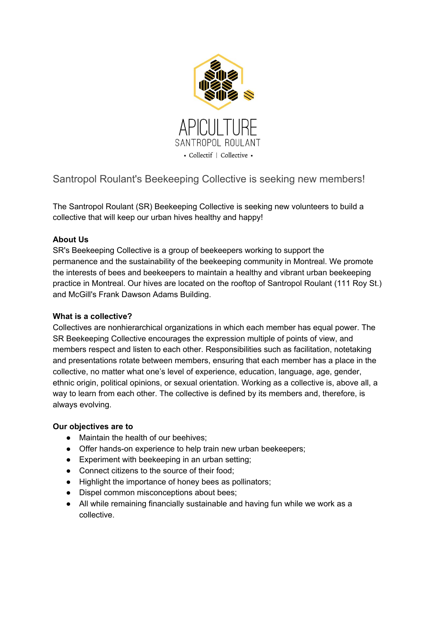

Santropol Roulant's Beekeeping Collective is seeking new members!

The Santropol Roulant (SR) Beekeeping Collective is seeking new volunteers to build a collective that will keep our urban hives healthy and happy!

# **About Us**

SR's Beekeeping Collective is a group of beekeepers working to support the permanence and the sustainability of the beekeeping community in Montreal. We promote the interests of bees and beekeepers to maintain a healthy and vibrant urban beekeeping practice in Montreal. Our hives are located on the rooftop of Santropol Roulant (111 Roy St.) and McGill's Frank Dawson Adams Building.

# **What is a collective?**

Collectives are nonhierarchical organizations in which each member has equal power. The SR Beekeeping Collective encourages the expression multiple of points of view, and members respect and listen to each other. Responsibilities such as facilitation, notetaking and presentations rotate between members, ensuring that each member has a place in the collective, no matter what one's level of experience, education, language, age, gender, ethnic origin, political opinions, or sexual orientation. Working as a collective is, above all, a way to learn from each other. The collective is defined by its members and, therefore, is always evolving.

# **Our objectives are to**

- Maintain the health of our beehives;
- Offer hands-on experience to help train new urban beekeepers;
- Experiment with beekeeping in an urban setting;
- Connect citizens to the source of their food;
- Highlight the importance of honey bees as pollinators;
- Dispel common misconceptions about bees;
- All while remaining financially sustainable and having fun while we work as a collective.